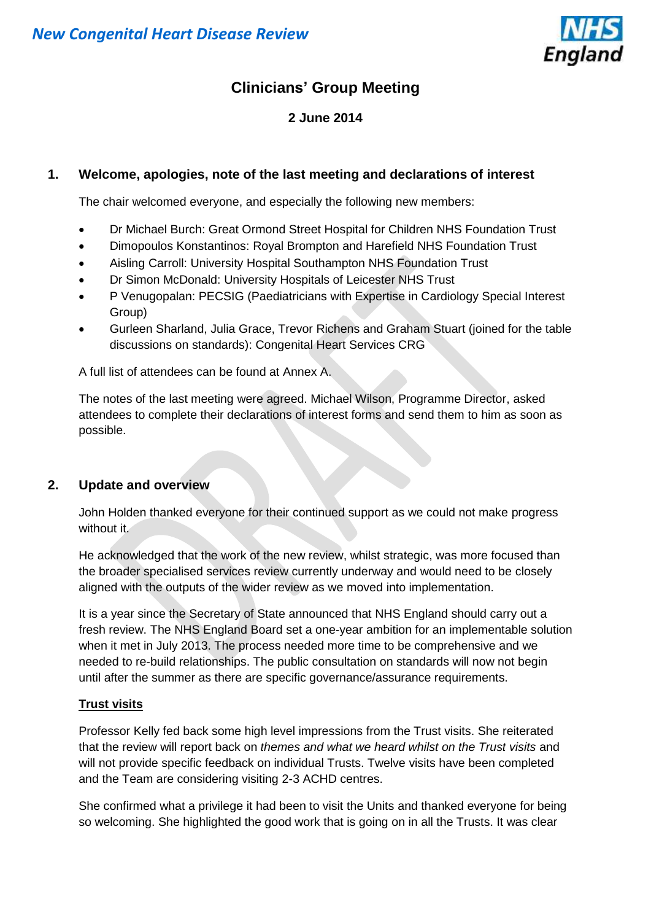

## **Clinicians' Group Meeting**

### **2 June 2014**

### **1. Welcome, apologies, note of the last meeting and declarations of interest**

The chair welcomed everyone, and especially the following new members:

- Dr Michael Burch: Great Ormond Street Hospital for Children NHS Foundation Trust
- Dimopoulos Konstantinos: Royal Brompton and Harefield NHS Foundation Trust
- Aisling Carroll: University Hospital Southampton NHS Foundation Trust
- Dr Simon McDonald: University Hospitals of Leicester NHS Trust
- P Venugopalan: PECSIG (Paediatricians with Expertise in Cardiology Special Interest Group)
- Gurleen Sharland, Julia Grace, Trevor Richens and Graham Stuart (joined for the table discussions on standards): Congenital Heart Services CRG

A full list of attendees can be found at Annex A.

The notes of the last meeting were agreed. Michael Wilson, Programme Director, asked attendees to complete their declarations of interest forms and send them to him as soon as possible.

### **2. Update and overview**

John Holden thanked everyone for their continued support as we could not make progress without it.

He acknowledged that the work of the new review, whilst strategic, was more focused than the broader specialised services review currently underway and would need to be closely aligned with the outputs of the wider review as we moved into implementation.

It is a year since the Secretary of State announced that NHS England should carry out a fresh review. The NHS England Board set a one-year ambition for an implementable solution when it met in July 2013. The process needed more time to be comprehensive and we needed to re-build relationships. The public consultation on standards will now not begin until after the summer as there are specific governance/assurance requirements.

### **Trust visits**

Professor Kelly fed back some high level impressions from the Trust visits. She reiterated that the review will report back on *themes and what we heard whilst on the Trust visits* and will not provide specific feedback on individual Trusts. Twelve visits have been completed and the Team are considering visiting 2-3 ACHD centres.

She confirmed what a privilege it had been to visit the Units and thanked everyone for being so welcoming. She highlighted the good work that is going on in all the Trusts. It was clear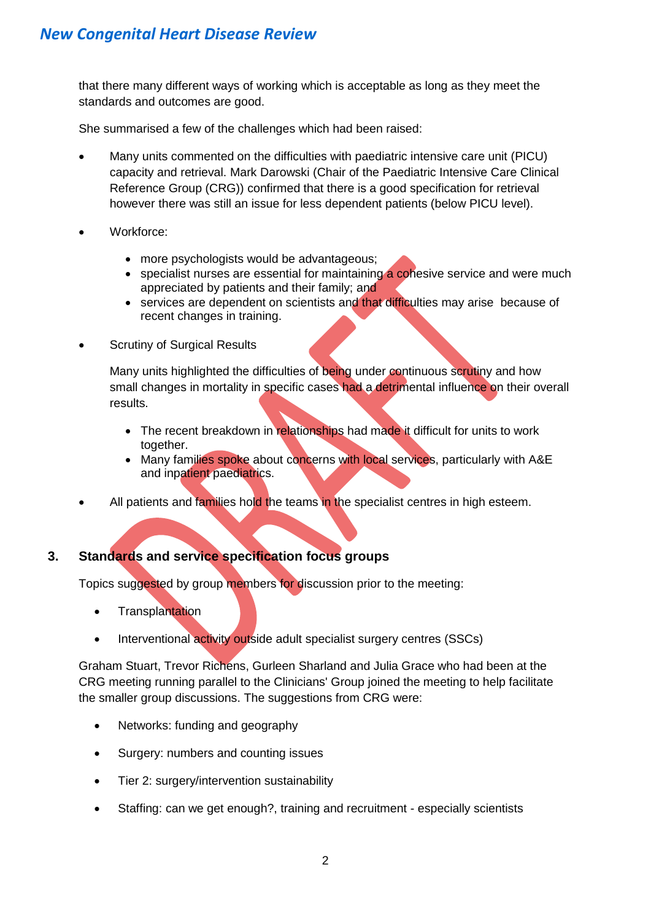that there many different ways of working which is acceptable as long as they meet the standards and outcomes are good.

She summarised a few of the challenges which had been raised:

- Many units commented on the difficulties with paediatric intensive care unit (PICU) capacity and retrieval. Mark Darowski (Chair of the Paediatric Intensive Care Clinical Reference Group (CRG)) confirmed that there is a good specification for retrieval however there was still an issue for less dependent patients (below PICU level).
- Workforce:
	- more psychologists would be advantageous;
	- specialist nurses are essential for maintaining a cohesive service and were much appreciated by patients and their family; and
	- services are dependent on scientists and that difficulties may arise because of recent changes in training.
- Scrutiny of Surgical Results

Many units highlighted the difficulties of being under continuous scrutiny and how small changes in mortality in specific cases had a detrimental influence on their overall results.

- The recent breakdown in relationships had made it difficult for units to work together.
- Many families spoke about concerns with local services, particularly with A&E and inpatient paediatrics.
- All patients and families hold the teams in the specialist centres in high esteem.

### **3. Standards and service specification focus groups**

Topics suggested by group members for discussion prior to the meeting:

- Transplantation
- Interventional activity outside adult specialist surgery centres (SSCs)

Graham Stuart, Trevor Richens, Gurleen Sharland and Julia Grace who had been at the CRG meeting running parallel to the Clinicians' Group joined the meeting to help facilitate the smaller group discussions. The suggestions from CRG were:

- Networks: funding and geography
- Surgery: numbers and counting issues
- Tier 2: surgery/intervention sustainability
- Staffing: can we get enough?, training and recruitment especially scientists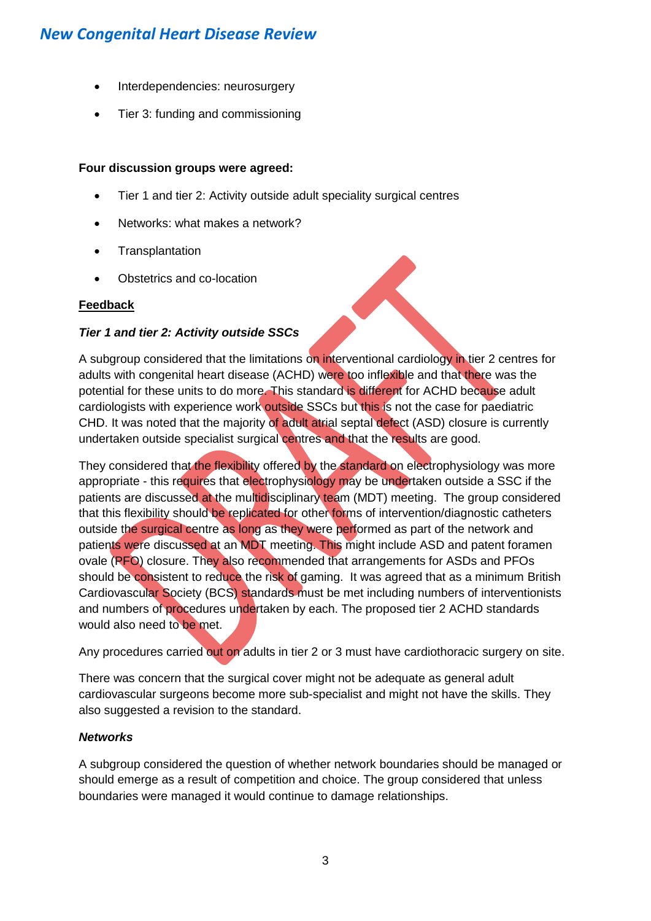- Interdependencies: neurosurgery
- Tier 3: funding and commissioning

### **Four discussion groups were agreed:**

- Tier 1 and tier 2: Activity outside adult speciality surgical centres
- Networks: what makes a network?
- Transplantation
- Obstetrics and co-location

### **Feedback**

### *Tier 1 and tier 2: Activity outside SSCs*

A subgroup considered that the limitations on interventional cardiology in tier 2 centres for adults with congenital heart disease (ACHD) were too inflexible and that there was the potential for these units to do more. This standard is different for ACHD because adult cardiologists with experience work outside SSCs but this is not the case for paediatric CHD. It was noted that the majority of adult atrial septal defect (ASD) closure is currently undertaken outside specialist surgical centres and that the results are good.

They considered that the flexibility offered by the standard on electrophysiology was more appropriate - this requires that electrophysiology may be undertaken outside a SSC if the patients are discussed at the multidisciplinary team (MDT) meeting. The group considered that this flexibility should be replicated for other forms of intervention/diagnostic catheters outside the surgical centre as long as they were performed as part of the network and patients were discussed at an MDT meeting. This might include ASD and patent foramen ovale (PFO) closure. They also recommended that arrangements for ASDs and PFOs should be consistent to reduce the risk of gaming. It was agreed that as a minimum British Cardiovascular Society (BCS) standards must be met including numbers of interventionists and numbers of procedures undertaken by each. The proposed tier 2 ACHD standards would also need to be met.

Any procedures carried out on adults in tier 2 or 3 must have cardiothoracic surgery on site.

There was concern that the surgical cover might not be adequate as general adult cardiovascular surgeons become more sub-specialist and might not have the skills. They also suggested a revision to the standard.

### *Networks*

A subgroup considered the question of whether network boundaries should be managed or should emerge as a result of competition and choice. The group considered that unless boundaries were managed it would continue to damage relationships.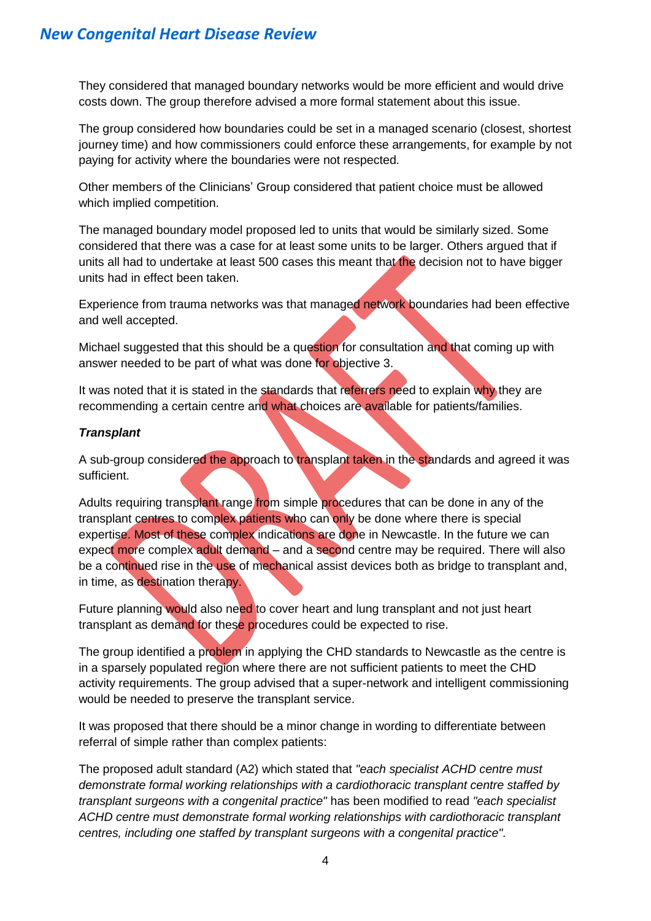### *New Congenital Heart Disease Review*

They considered that managed boundary networks would be more efficient and would drive costs down. The group therefore advised a more formal statement about this issue.

The group considered how boundaries could be set in a managed scenario (closest, shortest journey time) and how commissioners could enforce these arrangements, for example by not paying for activity where the boundaries were not respected.

Other members of the Clinicians' Group considered that patient choice must be allowed which implied competition.

The managed boundary model proposed led to units that would be similarly sized. Some considered that there was a case for at least some units to be larger. Others argued that if units all had to undertake at least 500 cases this meant that the decision not to have bigger units had in effect been taken.

Experience from trauma networks was that managed network boundaries had been effective and well accepted.

Michael suggested that this should be a question for consultation and that coming up with answer needed to be part of what was done for objective 3.

It was noted that it is stated in the standards that referrers need to explain why they are recommending a certain centre and what choices are available for patients/families.

### *Transplant*

A sub-group considered the approach to transplant taken in the standards and agreed it was sufficient.

Adults requiring transplant range from simple procedures that can be done in any of the transplant centres to complex patients who can only be done where there is special expertise. Most of these complex indications are done in Newcastle. In the future we can expect more complex adult demand – and a second centre may be required. There will also be a continued rise in the use of mechanical assist devices both as bridge to transplant and, in time, as destination therapy.

Future planning would also need to cover heart and lung transplant and not just heart transplant as demand for these procedures could be expected to rise.

The group identified a problem in applying the CHD standards to Newcastle as the centre is in a sparsely populated region where there are not sufficient patients to meet the CHD activity requirements. The group advised that a super-network and intelligent commissioning would be needed to preserve the transplant service.

It was proposed that there should be a minor change in wording to differentiate between referral of simple rather than complex patients:

The proposed adult standard (A2) which stated that *"each specialist ACHD centre must demonstrate formal working relationships with a cardiothoracic transplant centre staffed by transplant surgeons with a congenital practice"* has been modified to read *"each specialist ACHD centre must demonstrate formal working relationships with cardiothoracic transplant centres, including one staffed by transplant surgeons with a congenital practice".*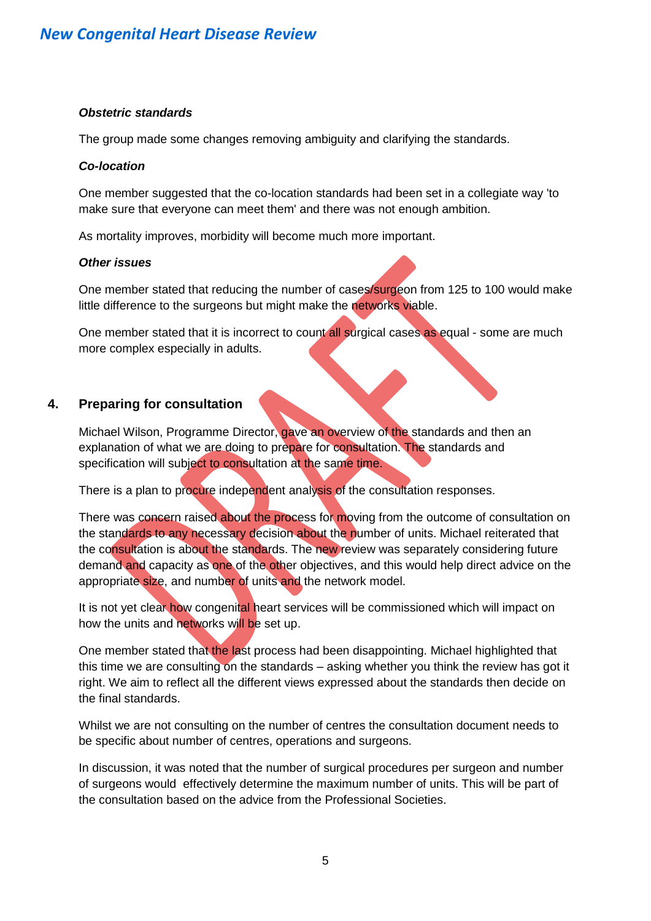### *Obstetric standards*

The group made some changes removing ambiguity and clarifying the standards.

### *Co-location*

One member suggested that the co-location standards had been set in a collegiate way 'to make sure that everyone can meet them' and there was not enough ambition.

As mortality improves, morbidity will become much more important.

#### *Other issues*

One member stated that reducing the number of cases/surgeon from 125 to 100 would make little difference to the surgeons but might make the networks viable.

One member stated that it is incorrect to count all surgical cases as equal - some are much more complex especially in adults.

### **4. Preparing for consultation**

Michael Wilson, Programme Director, gave an overview of the standards and then an explanation of what we are doing to prepare for consultation. The standards and specification will subject to consultation at the same time.

There is a plan to procure independent analysis of the consultation responses.

There was concern raised about the process for moving from the outcome of consultation on the standards to any necessary decision about the number of units. Michael reiterated that the consultation is about the standards. The new review was separately considering future demand and capacity as one of the other objectives, and this would help direct advice on the appropriate size, and number of units and the network model.

It is not yet clear how congenital heart services will be commissioned which will impact on how the units and networks will be set up.

One member stated that the last process had been disappointing. Michael highlighted that this time we are consulting on the standards – asking whether you think the review has got it right. We aim to reflect all the different views expressed about the standards then decide on the final standards.

Whilst we are not consulting on the number of centres the consultation document needs to be specific about number of centres, operations and surgeons.

In discussion, it was noted that the number of surgical procedures per surgeon and number of surgeons would effectively determine the maximum number of units. This will be part of the consultation based on the advice from the Professional Societies.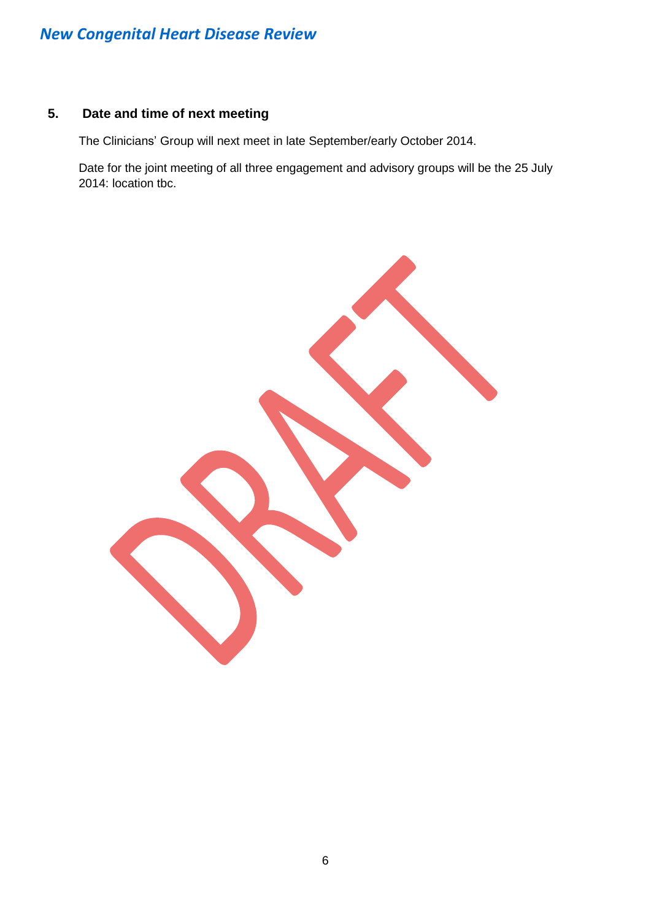# *New Congenital Heart Disease Review*

### **5. Date and time of next meeting**

The Clinicians' Group will next meet in late September/early October 2014.

Date for the joint meeting of all three engagement and advisory groups will be the 25 July 2014: location tbc.

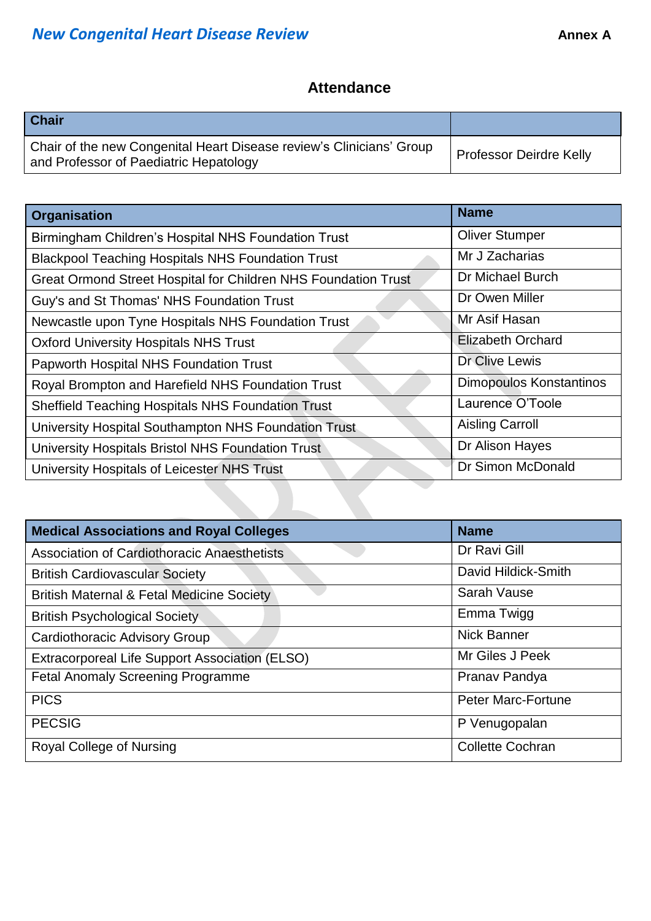# **Attendance**

| <b>Chair</b>                                                                                                   |                                |
|----------------------------------------------------------------------------------------------------------------|--------------------------------|
| Chair of the new Congenital Heart Disease review's Clinicians' Group<br>and Professor of Paediatric Hepatology | <b>Professor Deirdre Kelly</b> |

| <b>Organisation</b>                                                   | <b>Name</b>              |
|-----------------------------------------------------------------------|--------------------------|
| Birmingham Children's Hospital NHS Foundation Trust                   | <b>Oliver Stumper</b>    |
| <b>Blackpool Teaching Hospitals NHS Foundation Trust</b>              | Mr J Zacharias           |
| <b>Great Ormond Street Hospital for Children NHS Foundation Trust</b> | Dr Michael Burch         |
| Guy's and St Thomas' NHS Foundation Trust                             | Dr Owen Miller           |
| Newcastle upon Tyne Hospitals NHS Foundation Trust                    | Mr Asif Hasan            |
| <b>Oxford University Hospitals NHS Trust</b>                          | <b>Elizabeth Orchard</b> |
| Papworth Hospital NHS Foundation Trust                                | Dr Clive Lewis           |
| Royal Brompton and Harefield NHS Foundation Trust                     | Dimopoulos Konstantinos  |
| <b>Sheffield Teaching Hospitals NHS Foundation Trust</b>              | Laurence O'Toole         |
| University Hospital Southampton NHS Foundation Trust                  | <b>Aisling Carroll</b>   |
| University Hospitals Bristol NHS Foundation Trust                     | Dr Alison Hayes          |
| University Hospitals of Leicester NHS Trust                           | Dr Simon McDonald        |

| <b>Medical Associations and Royal Colleges</b>       | <b>Name</b>               |
|------------------------------------------------------|---------------------------|
| Association of Cardiothoracic Anaesthetists          | Dr Ravi Gill              |
| <b>British Cardiovascular Society</b>                | David Hildick-Smith       |
| <b>British Maternal &amp; Fetal Medicine Society</b> | Sarah Vause               |
| <b>British Psychological Society</b>                 | Emma Twigg                |
| Cardiothoracic Advisory Group                        | <b>Nick Banner</b>        |
| Extracorporeal Life Support Association (ELSO)       | Mr Giles J Peek           |
| <b>Fetal Anomaly Screening Programme</b>             | Pranav Pandya             |
| <b>PICS</b>                                          | <b>Peter Marc-Fortune</b> |
| <b>PECSIG</b>                                        | P Venugopalan             |
| Royal College of Nursing                             | <b>Collette Cochran</b>   |